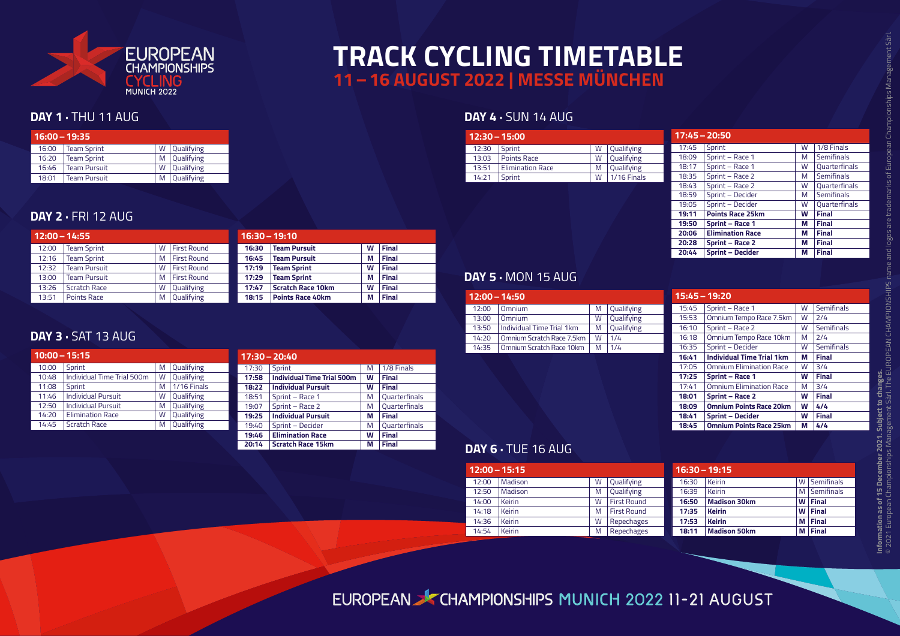

## **TRACK CYCLING TIMETABLE 11–16 AUGUST 2022 | MESSE MÜNCHEN**

#### **DAY 1 · THU 11 AUG**

| $16:00 - 19:35$ |                     |   |            |  |  |
|-----------------|---------------------|---|------------|--|--|
| 16:00           | <b>Team Sprint</b>  | W | Qualifying |  |  |
| 16:20           | <b>Team Sprint</b>  | M | Qualifying |  |  |
| 16:46           | <b>Team Pursuit</b> | W | Qualifying |  |  |
| 18:01           | <b>Team Pursuit</b> |   | Qualifying |  |  |

#### **DAY 2 · FRI 12 AUG**

| $12:00 - 14:55$ |                     |   | $16:30 - 19:10$    |       |                          |   |              |
|-----------------|---------------------|---|--------------------|-------|--------------------------|---|--------------|
| 12:00           | <b>Team Sprint</b>  | W | First Round        | 16:30 | <b>Team Pursuit</b>      | W | Final        |
| 12:16           | <b>Team Sprint</b>  | M | <b>First Round</b> | 16:45 | <b>Team Pursuit</b>      | М | Final        |
| 12:32           | <b>Team Pursuit</b> | W | <b>First Round</b> | 17:19 | <b>Team Sprint</b>       | W | <b>Final</b> |
| 13:00           | <b>Team Pursuit</b> | M | <b>First Round</b> | 17:29 | <b>Team Sprint</b>       | М | <b>Final</b> |
| 13:26           | Scratch Race        | W | Qualifying         | 17:47 | <b>Scratch Race 10km</b> | W | <b>Final</b> |
| 13:51           | Points Race         | M | Qualifying         | 18:15 | <b>Points Race 40km</b>  | М | <b>Final</b> |

#### **DAY 3 ·** SAT 13 AUG

| $10:00 - 15:15$ |                            |   |             |  |  |
|-----------------|----------------------------|---|-------------|--|--|
| 10:00           | Sprint                     | M | Qualifying  |  |  |
| 10:48           | Individual Time Trial 500m | W | Qualifying  |  |  |
| 11:08           | Sprint                     | M | 1/16 Finals |  |  |
| 11:46           | <b>Individual Pursuit</b>  | W | Qualifying  |  |  |
| 12:50           | <b>Individual Pursuit</b>  | M | Qualifying  |  |  |
| 14:20           | <b>Elimination Race</b>    | W | Qualifying  |  |  |
| 14:45           | <b>Scratch Race</b>        | M | Qualifying  |  |  |

|       | $17:30 - 20:40$                   |   |                      |
|-------|-----------------------------------|---|----------------------|
| 17:30 | Sprint                            | M | 1/8 Finals           |
| 17:58 | <b>Individual Time Trial 500m</b> | W | Final                |
| 18:22 | <b>Individual Pursuit</b>         | W | Final                |
| 18:51 | Sprint - Race 1                   | M | <b>Ouarterfinals</b> |
| 19:07 | Sprint - Race 2                   | М | <b>Ouarterfinals</b> |
| 19:25 | <b>Individual Pursuit</b>         | М | <b>Final</b>         |
| 19:40 | Sprint - Decider                  | M | <b>Ouarterfinals</b> |
| 19:46 | <b>Elimination Race</b>           | W | <b>Final</b>         |
| 20:14 | <b>Scratch Race 15km</b>          | М | <b>Final</b>         |

#### **DAY 4 · SUN 14 AUG**

| $12:30 - 15:00$ |                         |   |             |
|-----------------|-------------------------|---|-------------|
| 12:30           | Sprint                  | W | Qualifying  |
| 13:03           | <b>Points Race</b>      | W | Qualifying  |
| 13:51           | <b>Elimination Race</b> | M | Qualifying  |
| 14:21           | Sprint                  | W | 1/16 Finals |

| $17:45 - 20:50$ |                         |   |                      |
|-----------------|-------------------------|---|----------------------|
| 17:45           | Sprint                  | W | 1/8 Finals           |
| 18:09           | Sprint - Race 1         | M | <b>Semifinals</b>    |
| 18:17           | Sprint - Race 1         | W | <b>Ouarterfinals</b> |
| 18:35           | Sprint - Race 2         | M | <b>Semifinals</b>    |
| 18:43           | Sprint - Race 2         | W | <b>Ouarterfinals</b> |
| 18:59           | Sprint - Decider        | M | <b>Semifinals</b>    |
| 19:05           | Sprint - Decider        | W | <b>Ouarterfinals</b> |
| 19:11           | <b>Points Race 25km</b> | W | <b>Final</b>         |
| 19:50           | <b>Sprint - Race 1</b>  | м | <b>Final</b>         |
| 20:06           | <b>Elimination Race</b> | м | <b>Final</b>         |
| 20:28           | Sprint - Race 2         | м | <b>Final</b>         |
| 20:44           | <b>Sprint - Decider</b> | м | <b>Final</b>         |

15:45 Sprint – Race 1 W Semifinals 15:53 Omnium Tempo Race 7.5km W 2/4 16:10 | Sprint – Race 2 | W | Semifinals 16:18 | Omnium Tempo Race 10km | M | 2/4 16:35 Sprint – Decider W Semifinals **16:41 Individual Time Trial 1km M Final** 17:05 Omnium Elimination Race W 3/4 **17:25 Sprint – Race 1 W Final**<br>17:41 **Omnium Elimination Race M** 3/4  $17:41$  Omnium Elimination Race

**18:01 Sprint – Race 2 W Final 18:09 Omnium Points Race 20km W 4/4**

**18:45 Omnium Points Race 25km M 4/4**

**18:41 Sprint – Decider** 

**15:45–19:20**

#### **DAY 5 ·** MON 15 AUG

| $12:00 - 14:50$ |                             |   |            |
|-----------------|-----------------------------|---|------------|
| 12:00           | Omnium                      | M | Qualifying |
| 13:00           | Omnium                      | W | Qualifying |
| 13:50           | Hodividual Time Trial 1km   | M | Qualifying |
| 14:20           | l Omnium Scratch Race 7.5km | W | 1/4        |
| 14.35           | Omnium Scratch Race 10km    | M | 1/4        |

| DAY 6 · TUE 16 AUG |  |
|--------------------|--|

| $12:00 - 15:15$ |         |   |                    |
|-----------------|---------|---|--------------------|
| 12:00           | Madison | W | Qualifying         |
| 12:50           | Madison | M | Qualifying         |
| 14:00           | Keirin  | W | <b>First Round</b> |
| 14:18           | Keirin  | M | <b>First Round</b> |
| 14.36           | Keirin  | W | Repechages         |
| 14:54           | Keirin  | M | Repechages         |
|                 |         |   |                    |

| $16:30 - 19:15$ |                     |   |                   |  |  |  |
|-----------------|---------------------|---|-------------------|--|--|--|
| 16:30           | <b>Keirin</b>       | W | <b>Semifinals</b> |  |  |  |
| 16:39           | <b>Keirin</b>       | м | Semifinals        |  |  |  |
| 16:50           | <b>Madison 30km</b> | w | <b>Final</b>      |  |  |  |
| 17:35           | <b>Keirin</b>       | W | <b>Final</b>      |  |  |  |
| 17:53           | <b>Keirin</b>       | м | <b>Final</b>      |  |  |  |
| 18:11           | <b>Madison 50km</b> | м | <b>Final</b>      |  |  |  |

### EUROPEAN SCHAMPIONSHIPS MUNICH 2022 11-21 AUGUST